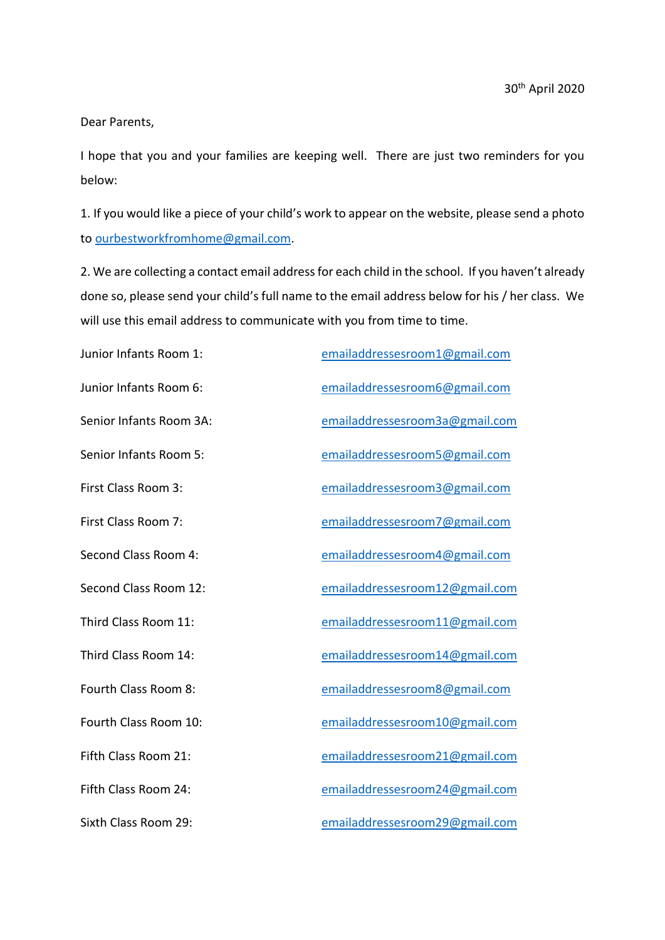Dear Parents,

I hope that you and your families are keeping well. There are just two reminders for you below:

1. If you would like a piece of your child's work to appear on the website, please send a photo to [ourbestworkfromhome@gmail.com.](mailto:ourbestworkfromhome@gmail.com)

2. We are collecting a contact email address for each child in the school. If you haven't already done so, please send your child's full name to the email address below for his / her class. We will use this email address to communicate with you from time to time.

Junior Infants Room 1: [emailaddressesroom1@gmail.com](mailto:emailaddressesroom1@gmail.com) Junior Infants Room 6: [emailaddressesroom6@gmail.com](mailto:emailaddressesroom6@gmail.com) Senior Infants Room 3A: [emailaddressesroom3a@gmail.com](mailto:emailaddressesroom3a@gmail.com) Senior Infants Room 5: [emailaddressesroom5@gmail.com](mailto:emailaddressesroom5@gmail.com) First Class Room 3: [emailaddressesroom3@gmail.com](mailto:emailaddressesroom3@gmail.com) First Class Room 7: [emailaddressesroom7@gmail.com](mailto:emailaddressesroom7@gmail.com) Second Class Room 4: [emailaddressesroom4@gmail.com](mailto:emailaddressesroom4@gmail.com) Second Class Room 12: [emailaddressesroom12@gmail.com](mailto:emailaddressesroom12@gmail.com) Third Class Room 11: [emailaddressesroom11@gmail.com](mailto:emailaddressesroom11@gmail.com) Third Class Room 14: [emailaddressesroom14@gmail.com](mailto:emailaddressesroom14@gmail.com) Fourth Class Room 8: [emailaddressesroom8@gmail.com](mailto:emailaddressesroom8@gmail.com) Fourth Class Room 10: [emailaddressesroom10@gmail.com](mailto:emailaddressesroom10@gmail.com) Fifth Class Room 21: [emailaddressesroom21@gmail.com](mailto:emailaddressesroom21@gmail.com) Fifth Class Room 24: [emailaddressesroom24@gmail.com](mailto:emailaddressesroom24@gmail.com) Sixth Class Room 29: [emailaddressesroom29@gmail.com](mailto:emailaddressesroom29@gmail.com)